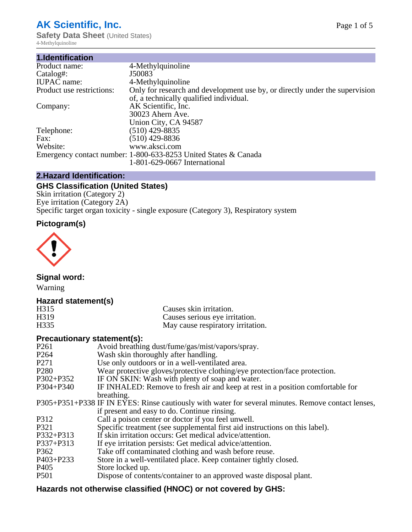# **AK Scientific, Inc.**

**Safety Data Sheet (United States)** 4-Methylquinoline

| 1.Identification          |                                                                             |
|---------------------------|-----------------------------------------------------------------------------|
| Product name:             | 4-Methylquinoline                                                           |
| Catalog#:                 | J50083                                                                      |
| <b>IUPAC</b> name:        | 4-Methylquinoline                                                           |
| Product use restrictions: | Only for research and development use by, or directly under the supervision |
|                           | of, a technically qualified individual.                                     |
| Company:                  | AK Scientific, Inc.                                                         |
|                           | 30023 Ahern Ave.                                                            |
|                           | Union City, CA 94587                                                        |
| Telephone:                | $(510)$ 429-8835                                                            |
| Fax:                      | (510) 429-8836                                                              |
| Website:                  | www.aksci.com                                                               |
|                           | Emergency contact number: 1-800-633-8253 United States & Canada             |
|                           | 1-801-629-0667 International                                                |

## **2.Hazard Identification:**

# **GHS Classification (United States)**

Skin irritation (Category 2) Eye irritation (Category 2A) Specific target organ toxicity - single exposure (Category 3), Respiratory system

# **Pictogram(s)**



**Signal word:**

Warning

### **Hazard statement(s)**

| H315             | Causes skin irritation.           |
|------------------|-----------------------------------|
| H <sub>319</sub> | Causes serious eye irritation.    |
| H335             | May cause respiratory irritation. |

#### **Precautionary statement(s):**

| P <sub>261</sub> | Avoid breathing dust/fume/gas/mist/vapors/spray.                                                   |
|------------------|----------------------------------------------------------------------------------------------------|
| P <sub>264</sub> | Wash skin thoroughly after handling.                                                               |
| P <sub>271</sub> | Use only outdoors or in a well-ventilated area.                                                    |
| P <sub>280</sub> | Wear protective gloves/protective clothing/eye protection/face protection.                         |
| P302+P352        | IF ON SKIN: Wash with plenty of soap and water.                                                    |
| $P304 + P340$    | IF INHALED: Remove to fresh air and keep at rest in a position comfortable for                     |
|                  | breathing.                                                                                         |
|                  | P305+P351+P338 IF IN EYES: Rinse cautiously with water for several minutes. Remove contact lenses, |
|                  | if present and easy to do. Continue rinsing.                                                       |
| P312             | Call a poison center or doctor if you feel unwell.                                                 |
| P321             | Specific treatment (see supplemental first aid instructions on this label).                        |
| P332+P313        | If skin irritation occurs: Get medical advice/attention.                                           |
| P337+P313        | If eye irritation persists: Get medical advice/attention.                                          |
| P362             | Take off contaminated clothing and wash before reuse.                                              |
| $P403 + P233$    | Store in a well-ventilated place. Keep container tightly closed.                                   |
| P <sub>405</sub> | Store locked up.                                                                                   |
| P <sub>501</sub> | Dispose of contents/container to an approved waste disposal plant.                                 |
|                  |                                                                                                    |

# **Hazards not otherwise classified (HNOC) or not covered by GHS:**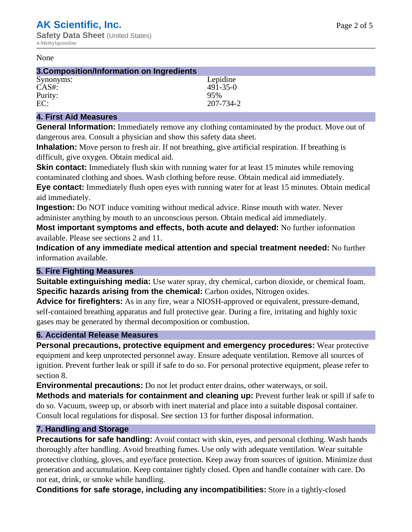#### None

| 3. Composition/Information on Ingredients |                |
|-------------------------------------------|----------------|
| Synonyms:                                 | Lepidine       |
| $CAS#$ :                                  | $491 - 35 - 0$ |
| Purity:                                   | 95%            |
| EC:                                       | 207-734-2      |

#### **4. First Aid Measures**

**General Information:** Immediately remove any clothing contaminated by the product. Move out of dangerous area. Consult a physician and show this safety data sheet.

**Inhalation:** Move person to fresh air. If not breathing, give artificial respiration. If breathing is difficult, give oxygen. Obtain medical aid.

**Skin contact:** Immediately flush skin with running water for at least 15 minutes while removing contaminated clothing and shoes. Wash clothing before reuse. Obtain medical aid immediately. **Eye contact:** Immediately flush open eyes with running water for at least 15 minutes. Obtain medical aid immediately.

**Ingestion:** Do NOT induce vomiting without medical advice. Rinse mouth with water. Never administer anything by mouth to an unconscious person. Obtain medical aid immediately.

**Most important symptoms and effects, both acute and delayed:** No further information available. Please see sections 2 and 11.

**Indication of any immediate medical attention and special treatment needed:** No further information available.

#### **5. Fire Fighting Measures**

**Suitable extinguishing media:** Use water spray, dry chemical, carbon dioxide, or chemical foam. **Specific hazards arising from the chemical:** Carbon oxides, Nitrogen oxides.

**Advice for firefighters:** As in any fire, wear a NIOSH-approved or equivalent, pressure-demand, self-contained breathing apparatus and full protective gear. During a fire, irritating and highly toxic gases may be generated by thermal decomposition or combustion.

### **6. Accidental Release Measures**

**Personal precautions, protective equipment and emergency procedures:** Wear protective equipment and keep unprotected personnel away. Ensure adequate ventilation. Remove all sources of ignition. Prevent further leak or spill if safe to do so. For personal protective equipment, please refer to section 8.

**Environmental precautions:** Do not let product enter drains, other waterways, or soil.

**Methods and materials for containment and cleaning up:** Prevent further leak or spill if safe to do so. Vacuum, sweep up, or absorb with inert material and place into a suitable disposal container. Consult local regulations for disposal. See section 13 for further disposal information.

#### **7. Handling and Storage**

**Precautions for safe handling:** Avoid contact with skin, eyes, and personal clothing. Wash hands thoroughly after handling. Avoid breathing fumes. Use only with adequate ventilation. Wear suitable protective clothing, gloves, and eye/face protection. Keep away from sources of ignition. Minimize dust generation and accumulation. Keep container tightly closed. Open and handle container with care. Do not eat, drink, or smoke while handling.

**Conditions for safe storage, including any incompatibilities:** Store in a tightly-closed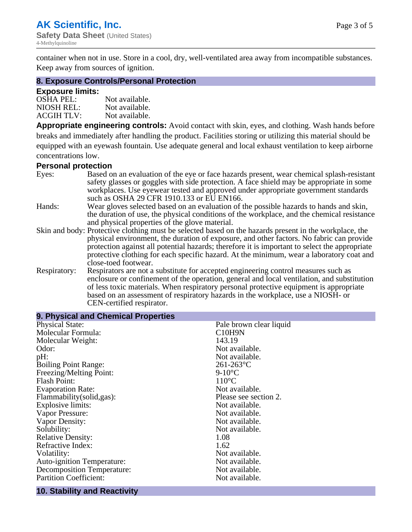$\mathbb{R}^2$ 

container when not in use. Store in a cool, dry, well-ventilated area away from incompatible substances. Keep away from sources of ignition.

#### **8. Exposure Controls/Personal Protection**

#### **Exposure limits:**

| <b>OSHA PEL:</b>  | Not available. |
|-------------------|----------------|
| NIOSH REL:        | Not available. |
| <b>ACGIH TLV:</b> | Not available. |

**Appropriate engineering controls:** Avoid contact with skin, eyes, and clothing. Wash hands before breaks and immediately after handling the product. Facilities storing or utilizing this material should be equipped with an eyewash fountain. Use adequate general and local exhaust ventilation to keep airborne concentrations low.

#### **Personal protection**

| Eyes:        | Based on an evaluation of the eye or face hazards present, wear chemical splash-resistant<br>safety glasses or goggles with side protection. A face shield may be appropriate in some |  |  |
|--------------|---------------------------------------------------------------------------------------------------------------------------------------------------------------------------------------|--|--|
|              | workplaces. Use eyewear tested and approved under appropriate government standards<br>such as OSHA 29 CFR 1910.133 or EU EN166.                                                       |  |  |
| Hands:       | Wear gloves selected based on an evaluation of the possible hazards to hands and skin,                                                                                                |  |  |
|              | the duration of use, the physical conditions of the workplace, and the chemical resistance                                                                                            |  |  |
|              | and physical properties of the glove material.                                                                                                                                        |  |  |
|              | Skin and body: Protective clothing must be selected based on the hazards present in the workplace, the                                                                                |  |  |
|              | physical environment, the duration of exposure, and other factors. No fabric can provide                                                                                              |  |  |
|              | protection against all potential hazards; therefore it is important to select the appropriate                                                                                         |  |  |
|              | protective clothing for each specific hazard. At the minimum, wear a laboratory coat and                                                                                              |  |  |
|              | close-toed footwear.                                                                                                                                                                  |  |  |
| Respiratory: | Respirators are not a substitute for accepted engineering control measures such as<br>enclosure or confinement of the operation, general and local ventilation, and substitution      |  |  |
|              | of less toxic materials. When respiratory personal protective equipment is appropriate                                                                                                |  |  |
|              | based on an assessment of respiratory hazards in the workplace, use a NIOSH- or                                                                                                       |  |  |
|              | CEN-certified respirator.                                                                                                                                                             |  |  |

| 9. Physical and Chemical Properties |                                  |
|-------------------------------------|----------------------------------|
| <b>Physical State:</b>              | Pale brown clear liquid          |
| Molecular Formula:                  | C <sub>10</sub> H <sub>9</sub> N |
| Molecular Weight:                   | 143.19                           |
| Odor:                               | Not available.                   |
| pH:                                 | Not available.                   |
| <b>Boiling Point Range:</b>         | $261 - 263$ °C                   |
| Freezing/Melting Point:             | $9-10$ °C                        |
| <b>Flash Point:</b>                 | $110^{\circ}$ C                  |
| <b>Evaporation Rate:</b>            | Not available.                   |
| Flammability(solid,gas):            | Please see section 2.            |
| <b>Explosive limits:</b>            | Not available.                   |
| Vapor Pressure:                     | Not available.                   |
| Vapor Density:                      | Not available.                   |
| Solubility:                         | Not available.                   |
| <b>Relative Density:</b>            | 1.08                             |
| Refractive Index:                   | 1.62                             |
| Volatility:                         | Not available.                   |
| <b>Auto-ignition Temperature:</b>   | Not available.                   |
| <b>Decomposition Temperature:</b>   | Not available.                   |
| <b>Partition Coefficient:</b>       | Not available.                   |

#### **10. Stability and Reactivity**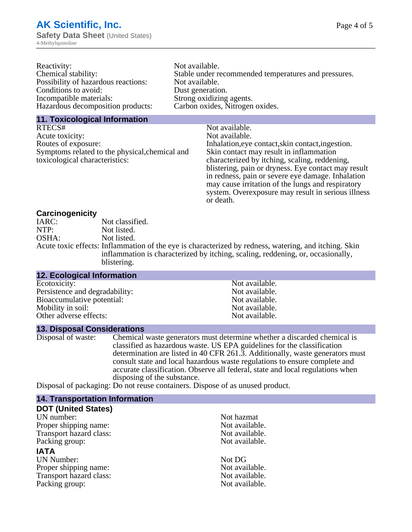| Reactivity:                         | Not available.                                       |
|-------------------------------------|------------------------------------------------------|
| Chemical stability:                 | Stable under recommended temperatures and pressures. |
| Possibility of hazardous reactions: | Not available.                                       |
| Conditions to avoid:                | Dust generation.                                     |
| Incompatible materials:             | Strong oxidizing agents.                             |
| Hazardous decomposition products:   | Carbon oxides, Nitrogen oxides.                      |
|                                     |                                                      |

#### **11. Toxicological Information**

| RTECS#                                         | Not available.                                      |
|------------------------------------------------|-----------------------------------------------------|
| Acute toxicity:                                | Not available.                                      |
| Routes of exposure:                            | Inhalation, eye contact, skin contact, ingestion.   |
| Symptoms related to the physical, chemical and | Skin contact may result in inflammation             |
| toxicological characteristics:                 | characterized by itching, scaling, reddening,       |
|                                                | blistering, pain or dryness. Eye contact may result |
|                                                | in redness, pain or severe eye damage. Inhalation   |
|                                                | may cause irritation of the lungs and respiratory   |
|                                                | system. Overexposure may result in serious illness  |

or death.

#### **Carcinogenicity**

| IARC: | Not classified.                                                                                       |
|-------|-------------------------------------------------------------------------------------------------------|
| NTP:  | Not listed.                                                                                           |
| OSHA: | Not listed.                                                                                           |
|       | Acute toxic effects: Inflammation of the eye is characterized by redness, watering, and itching. Skin |
|       | inflammation is characterized by itching, scaling, reddening, or, occasionally,                       |
|       | blistering.                                                                                           |

| <b>12. Ecological Information</b> |                |
|-----------------------------------|----------------|
| Ecotoxicity:                      | Not available. |
| Persistence and degradability:    | Not available. |
| Bioaccumulative potential:        | Not available. |
| Mobility in soil:                 | Not available. |
| Other adverse effects:            | Not available. |

#### **13. Disposal Considerations**

Disposal of waste: Chemical waste generators must determine whether a discarded chemical is classified as hazardous waste. US EPA guidelines for the classification determination are listed in 40 CFR 261.3. Additionally, waste generators must consult state and local hazardous waste regulations to ensure complete and accurate classification. Observe all federal, state and local regulations when disposing of the substance.

Disposal of packaging: Do not reuse containers. Dispose of as unused product.

| <b>14. Transportation Information</b> |                |
|---------------------------------------|----------------|
| <b>DOT (United States)</b>            |                |
| UN number:                            | Not hazmat     |
| Proper shipping name:                 | Not available. |
| Transport hazard class:               | Not available. |
| Packing group:                        | Not available. |
| <b>IATA</b>                           |                |
| <b>UN Number:</b>                     | Not DG         |
| Proper shipping name:                 | Not available. |
| Transport hazard class:               | Not available. |
| Packing group:                        | Not available. |